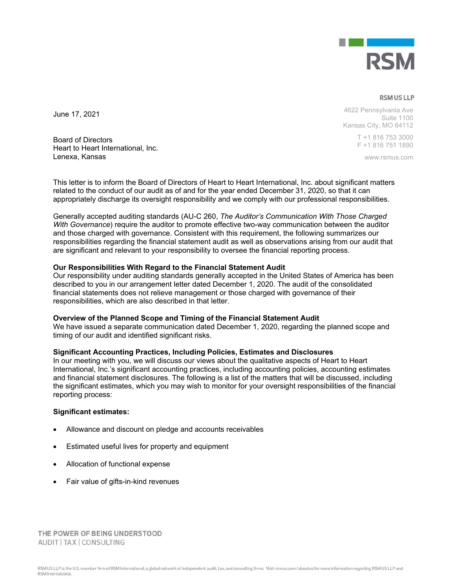

**RSM US LLP** 

4622 Pennsylvania Ave Suite 1100 Kansas City, MO 64112

> T +1 816 753 3000 F +1 816 751 1890

> > www.rsmus.com

Board of Directors Heart to Heart International, Inc. Lenexa, Kansas

June 17, 2021

This letter is to inform the Board of Directors of Heart to Heart International, Inc. about significant matters related to the conduct of our audit as of and for the year ended December 31, 2020, so that it can appropriately discharge its oversight responsibility and we comply with our professional responsibilities.

Generally accepted auditing standards (AU-C 260, *The Auditor's Communication With Those Charged With Governance*) require the auditor to promote effective two-way communication between the auditor and those charged with governance. Consistent with this requirement, the following summarizes our responsibilities regarding the financial statement audit as well as observations arising from our audit that are significant and relevant to your responsibility to oversee the financial reporting process.

# **Our Responsibilities With Regard to the Financial Statement Audit**

Our responsibility under auditing standards generally accepted in the United States of America has been described to you in our arrangement letter dated December 1, 2020. The audit of the consolidated financial statements does not relieve management or those charged with governance of their responsibilities, which are also described in that letter.

### **Overview of the Planned Scope and Timing of the Financial Statement Audit**

We have issued a separate communication dated December 1, 2020, regarding the planned scope and timing of our audit and identified significant risks.

### **Significant Accounting Practices, Including Policies, Estimates and Disclosures**

In our meeting with you, we will discuss our views about the qualitative aspects of Heart to Heart International, Inc.'s significant accounting practices, including accounting policies, accounting estimates and financial statement disclosures. The following is a list of the matters that will be discussed, including the significant estimates, which you may wish to monitor for your oversight responsibilities of the financial reporting process:

### **Significant estimates:**

- Allowance and discount on pledge and accounts receivables
- Estimated useful lives for property and equipment
- Allocation of functional expense
- Fair value of gifts-in-kind revenues

THE POWER OF BEING UNDERSTOOD AUDIT | TAX | CONSULTING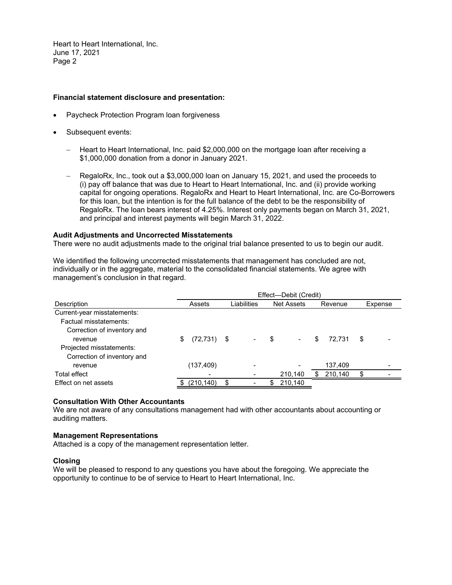Heart to Heart International, Inc. June 17, 2021 Page 2

## **Financial statement disclosure and presentation:**

- Paycheck Protection Program loan forgiveness
- Subsequent events:
	- Heart to Heart International, Inc. paid \$2,000,000 on the mortgage loan after receiving a \$1,000,000 donation from a donor in January 2021.
	- RegaloRx, Inc., took out a \$3,000,000 loan on January 15, 2021, and used the proceeds to (i) pay off balance that was due to Heart to Heart International, Inc. and (ii) provide working capital for ongoing operations. RegaloRx and Heart to Heart International, Inc. are Co-Borrowers for this loan, but the intention is for the full balance of the debt to be the responsibility of RegaloRx. The loan bears interest of 4.25%. Interest only payments began on March 31, 2021, and principal and interest payments will begin March 31, 2022.

### **Audit Adjustments and Uncorrected Misstatements**

There were no audit adjustments made to the original trial balance presented to us to begin our audit.

We identified the following uncorrected misstatements that management has concluded are not, individually or in the aggregate, material to the consolidated financial statements. We agree with management's conclusion in that regard.

| Effect-Debit (Credit) |                                                                                                       |                   |              |         |  |  |  |  |
|-----------------------|-------------------------------------------------------------------------------------------------------|-------------------|--------------|---------|--|--|--|--|
| Assets                | Liabilities                                                                                           | <b>Net Assets</b> | Revenue      | Expense |  |  |  |  |
|                       |                                                                                                       |                   |              |         |  |  |  |  |
|                       |                                                                                                       |                   |              |         |  |  |  |  |
|                       |                                                                                                       |                   |              |         |  |  |  |  |
| \$                    | $\hskip1.6pt\hskip1.6pt\hskip1.6pt\hskip1.6pt\hskip1.6pt\hskip1.6pt\hskip1.6pt\hskip1.6pt\hskip1.6pt$ | \$                | 72.731<br>\$ | \$      |  |  |  |  |
|                       |                                                                                                       |                   |              |         |  |  |  |  |
|                       |                                                                                                       |                   |              |         |  |  |  |  |
| (137,409)             |                                                                                                       |                   | 137,409      |         |  |  |  |  |
|                       |                                                                                                       | 210,140           | 210,140      |         |  |  |  |  |
| (210, 140)            |                                                                                                       | 210,140           |              |         |  |  |  |  |
|                       |                                                                                                       | $(72, 731)$ \$    |              |         |  |  |  |  |

### **Consultation With Other Accountants**

We are not aware of any consultations management had with other accountants about accounting or auditing matters.

### **Management Representations**

Attached is a copy of the management representation letter.

### **Closing**

We will be pleased to respond to any questions you have about the foregoing. We appreciate the opportunity to continue to be of service to Heart to Heart International, Inc.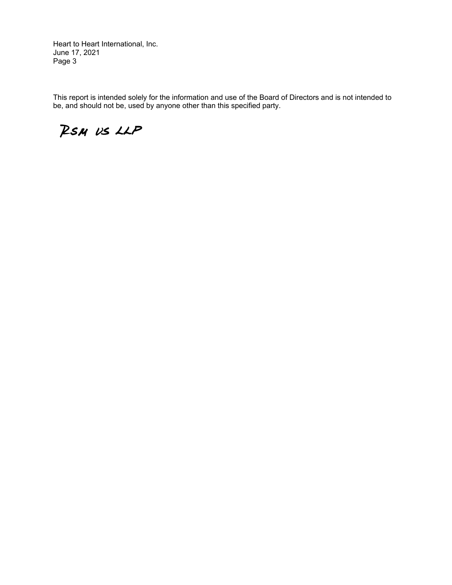Heart to Heart International, Inc. June 17, 2021 Page 3

This report is intended solely for the information and use of the Board of Directors and is not intended to be, and should not be, used by anyone other than this specified party.

RSM US LLP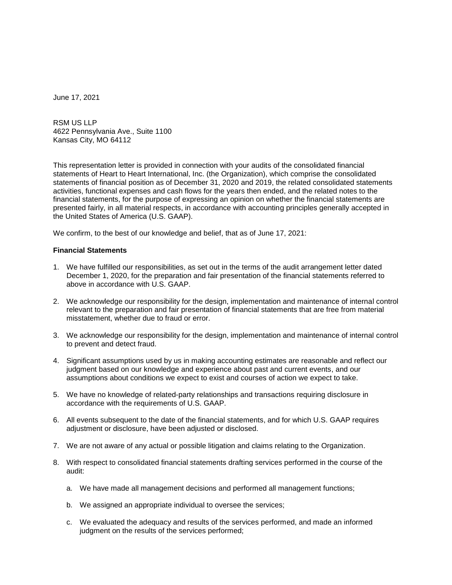June 17, 2021

RSM US LLP 4622 Pennsylvania Ave., Suite 1100 Kansas City, MO 64112

This representation letter is provided in connection with your audits of the consolidated financial statements of Heart to Heart International, Inc. (the Organization), which comprise the consolidated statements of financial position as of December 31, 2020 and 2019, the related consolidated statements activities, functional expenses and cash flows for the years then ended, and the related notes to the financial statements, for the purpose of expressing an opinion on whether the financial statements are presented fairly, in all material respects, in accordance with accounting principles generally accepted in the United States of America (U.S. GAAP).

We confirm, to the best of our knowledge and belief, that as of June 17, 2021:

#### **Financial Statements**

- 1. We have fulfilled our responsibilities, as set out in the terms of the audit arrangement letter dated December 1, 2020, for the preparation and fair presentation of the financial statements referred to above in accordance with U.S. GAAP.
- 2. We acknowledge our responsibility for the design, implementation and maintenance of internal control relevant to the preparation and fair presentation of financial statements that are free from material misstatement, whether due to fraud or error.
- 3. We acknowledge our responsibility for the design, implementation and maintenance of internal control to prevent and detect fraud.
- 4. Significant assumptions used by us in making accounting estimates are reasonable and reflect our judgment based on our knowledge and experience about past and current events, and our assumptions about conditions we expect to exist and courses of action we expect to take.
- 5. We have no knowledge of related-party relationships and transactions requiring disclosure in accordance with the requirements of U.S. GAAP.
- 6. All events subsequent to the date of the financial statements, and for which U.S. GAAP requires adjustment or disclosure, have been adjusted or disclosed.
- 7. We are not aware of any actual or possible litigation and claims relating to the Organization.
- 8. With respect to consolidated financial statements drafting services performed in the course of the audit:
	- a. We have made all management decisions and performed all management functions;
	- b. We assigned an appropriate individual to oversee the services;
	- c. We evaluated the adequacy and results of the services performed, and made an informed judgment on the results of the services performed;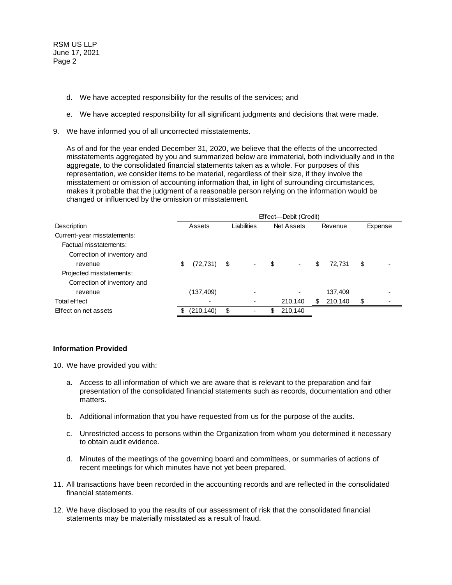RSM US LLP June 17, 2021 Page 2

- d. We have accepted responsibility for the results of the services; and
- e. We have accepted responsibility for all significant judgments and decisions that were made.
- 9. We have informed you of all uncorrected misstatements.

As of and for the year ended December 31, 2020, we believe that the effects of the uncorrected misstatements aggregated by you and summarized below are immaterial, both individually and in the aggregate, to the consolidated financial statements taken as a whole. For purposes of this representation, we consider items to be material, regardless of their size, if they involve the misstatement or omission of accounting information that, in light of surrounding circumstances, makes it probable that the judgment of a reasonable person relying on the information would be changed or influenced by the omission or misstatement.

|                             | Effect---Debit (Credit) |            |             |  |                   |                          |         |         |         |  |
|-----------------------------|-------------------------|------------|-------------|--|-------------------|--------------------------|---------|---------|---------|--|
| <b>Description</b>          | Assets                  |            | Liabilities |  | <b>Net Assets</b> |                          | Revenue |         | Expense |  |
| Current-year misstatements: |                         |            |             |  |                   |                          |         |         |         |  |
| Factual misstatements:      |                         |            |             |  |                   |                          |         |         |         |  |
| Correction of inventory and |                         |            |             |  |                   |                          |         |         |         |  |
| revenue                     | \$                      | (72, 731)  | \$          |  | \$                | $\overline{\phantom{a}}$ | \$      | 72,731  | \$      |  |
| Projected misstatements:    |                         |            |             |  |                   |                          |         |         |         |  |
| Correction of inventory and |                         |            |             |  |                   |                          |         |         |         |  |
| revenue                     |                         | (137,409)  |             |  |                   |                          |         | 137,409 |         |  |
| Total effect                |                         |            |             |  |                   | 210,140                  | S       | 210,140 | \$      |  |
| Effect on net assets        |                         | (210, 140) | \$          |  | S                 | 210,140                  |         |         |         |  |

### **Information Provided**

10. We have provided you with:

- a. Access to all information of which we are aware that is relevant to the preparation and fair presentation of the consolidated financial statements such as records, documentation and other matters.
- b. Additional information that you have requested from us for the purpose of the audits.
- c. Unrestricted access to persons within the Organization from whom you determined it necessary to obtain audit evidence.
- d. Minutes of the meetings of the governing board and committees, or summaries of actions of recent meetings for which minutes have not yet been prepared.
- 11. All transactions have been recorded in the accounting records and are reflected in the consolidated financial statements.
- 12. We have disclosed to you the results of our assessment of risk that the consolidated financial statements may be materially misstated as a result of fraud.